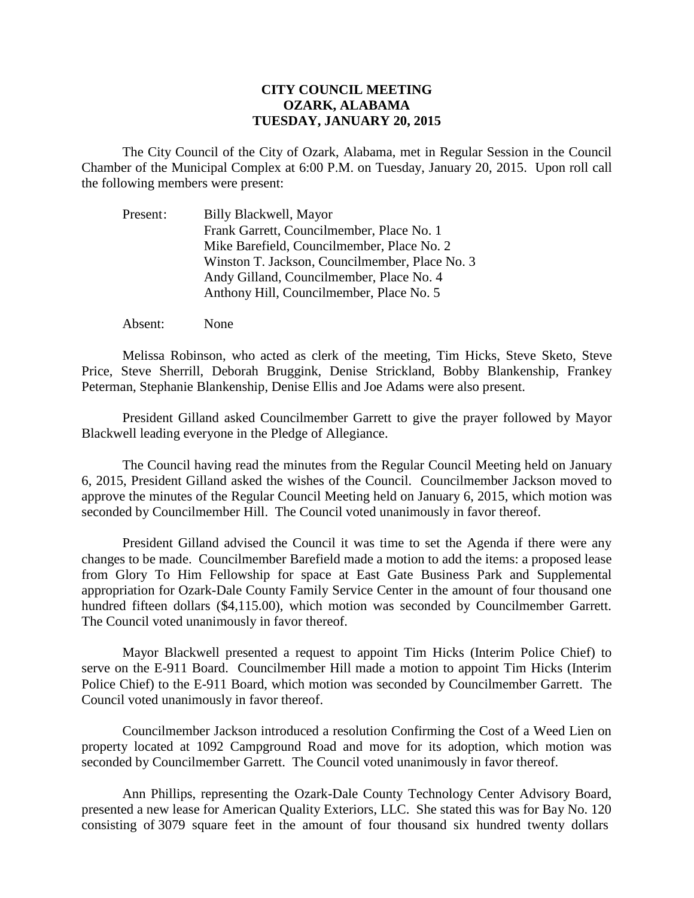## **CITY COUNCIL MEETING OZARK, ALABAMA TUESDAY, JANUARY 20, 2015**

The City Council of the City of Ozark, Alabama, met in Regular Session in the Council Chamber of the Municipal Complex at 6:00 P.M. on Tuesday, January 20, 2015. Upon roll call the following members were present:

| Present: | Billy Blackwell, Mayor                         |
|----------|------------------------------------------------|
|          | Frank Garrett, Councilmember, Place No. 1      |
|          | Mike Barefield, Councilmember, Place No. 2     |
|          | Winston T. Jackson, Councilmember, Place No. 3 |
|          | Andy Gilland, Councilmember, Place No. 4       |
|          | Anthony Hill, Councilmember, Place No. 5       |

Absent: None

Melissa Robinson, who acted as clerk of the meeting, Tim Hicks, Steve Sketo, Steve Price, Steve Sherrill, Deborah Bruggink, Denise Strickland, Bobby Blankenship, Frankey Peterman, Stephanie Blankenship, Denise Ellis and Joe Adams were also present.

President Gilland asked Councilmember Garrett to give the prayer followed by Mayor Blackwell leading everyone in the Pledge of Allegiance.

The Council having read the minutes from the Regular Council Meeting held on January 6, 2015, President Gilland asked the wishes of the Council. Councilmember Jackson moved to approve the minutes of the Regular Council Meeting held on January 6, 2015, which motion was seconded by Councilmember Hill. The Council voted unanimously in favor thereof.

President Gilland advised the Council it was time to set the Agenda if there were any changes to be made. Councilmember Barefield made a motion to add the items: a proposed lease from Glory To Him Fellowship for space at East Gate Business Park and Supplemental appropriation for Ozark-Dale County Family Service Center in the amount of four thousand one hundred fifteen dollars (\$4,115.00), which motion was seconded by Councilmember Garrett. The Council voted unanimously in favor thereof.

Mayor Blackwell presented a request to appoint Tim Hicks (Interim Police Chief) to serve on the E-911 Board. Councilmember Hill made a motion to appoint Tim Hicks (Interim Police Chief) to the E-911 Board, which motion was seconded by Councilmember Garrett. The Council voted unanimously in favor thereof.

Councilmember Jackson introduced a resolution Confirming the Cost of a Weed Lien on property located at 1092 Campground Road and move for its adoption, which motion was seconded by Councilmember Garrett. The Council voted unanimously in favor thereof.

Ann Phillips, representing the Ozark-Dale County Technology Center Advisory Board, presented a new lease for American Quality Exteriors, LLC. She stated this was for Bay No. 120 consisting of 3079 square feet in the amount of four thousand six hundred twenty dollars